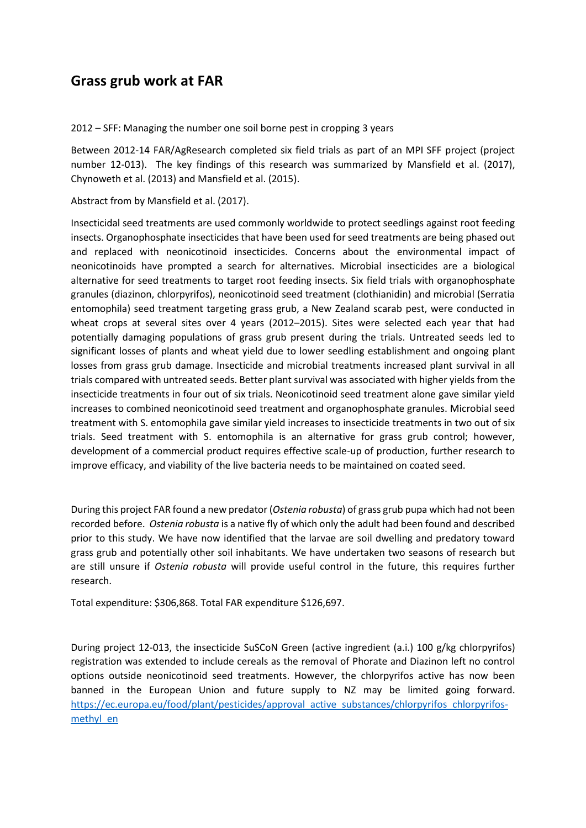## **Grass grub work at FAR**

2012 – SFF: Managing the number one soil borne pest in cropping 3 years

Between 2012-14 FAR/AgResearch completed six field trials as part of an MPI SFF project (project number 12-013). The key findings of this research was summarized by Mansfield et al. (2017), Chynoweth et al. (2013) and Mansfield et al. (2015).

Abstract from by Mansfield et al. (2017).

Insecticidal seed treatments are used commonly worldwide to protect seedlings against root feeding insects. Organophosphate insecticides that have been used for seed treatments are being phased out and replaced with neonicotinoid insecticides. Concerns about the environmental impact of neonicotinoids have prompted a search for alternatives. Microbial insecticides are a biological alternative for seed treatments to target root feeding insects. Six field trials with organophosphate granules (diazinon, chlorpyrifos), neonicotinoid seed treatment (clothianidin) and microbial (Serratia entomophila) seed treatment targeting grass grub, a New Zealand scarab pest, were conducted in wheat crops at several sites over 4 years (2012–2015). Sites were selected each year that had potentially damaging populations of grass grub present during the trials. Untreated seeds led to significant losses of plants and wheat yield due to lower seedling establishment and ongoing plant losses from grass grub damage. Insecticide and microbial treatments increased plant survival in all trials compared with untreated seeds. Better plant survival was associated with higher yields from the insecticide treatments in four out of six trials. Neonicotinoid seed treatment alone gave similar yield increases to combined neonicotinoid seed treatment and organophosphate granules. Microbial seed treatment with S. entomophila gave similar yield increases to insecticide treatments in two out of six trials. Seed treatment with S. entomophila is an alternative for grass grub control; however, development of a commercial product requires effective scale-up of production, further research to improve efficacy, and viability of the live bacteria needs to be maintained on coated seed.

During this project FAR found a new predator (*Ostenia robusta*) of grass grub pupa which had not been recorded before. *Ostenia robusta* is a native fly of which only the adult had been found and described prior to this study. We have now identified that the larvae are soil dwelling and predatory toward grass grub and potentially other soil inhabitants. We have undertaken two seasons of research but are still unsure if *Ostenia robusta* will provide useful control in the future, this requires further research.

Total expenditure: \$306,868. Total FAR expenditure \$126,697.

During project 12-013, the insecticide SuSCoN Green (active ingredient (a.i.) 100 g/kg chlorpyrifos) registration was extended to include cereals as the removal of Phorate and Diazinon left no control options outside neonicotinoid seed treatments. However, the chlorpyrifos active has now been banned in the European Union and future supply to NZ may be limited going forward. [https://ec.europa.eu/food/plant/pesticides/approval\\_active\\_substances/chlorpyrifos\\_chlorpyrifos](https://ec.europa.eu/food/plant/pesticides/approval_active_substances/chlorpyrifos_chlorpyrifos-methyl_en)[methyl\\_en](https://ec.europa.eu/food/plant/pesticides/approval_active_substances/chlorpyrifos_chlorpyrifos-methyl_en)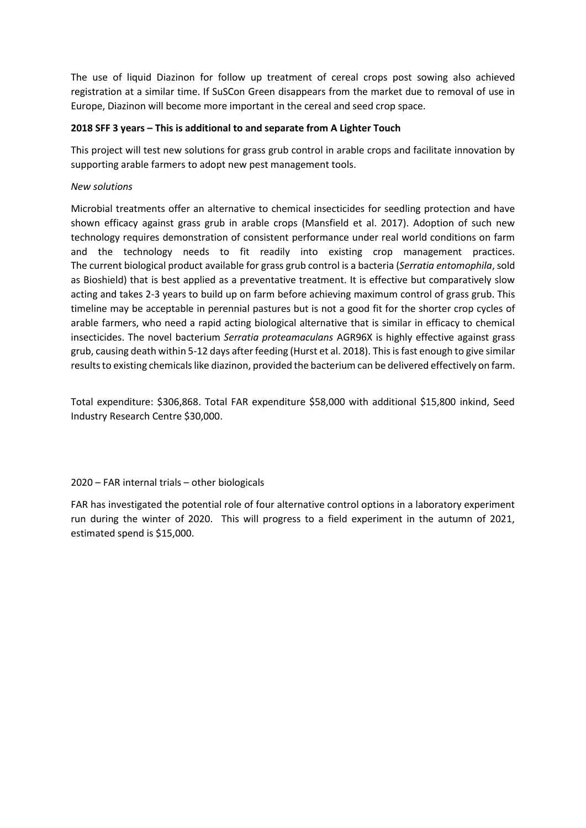The use of liquid Diazinon for follow up treatment of cereal crops post sowing also achieved registration at a similar time. If SuSCon Green disappears from the market due to removal of use in Europe, Diazinon will become more important in the cereal and seed crop space.

## **2018 SFF 3 years – This is additional to and separate from A Lighter Touch**

This project will test new solutions for grass grub control in arable crops and facilitate innovation by supporting arable farmers to adopt new pest management tools.

## *New solutions*

Microbial treatments offer an alternative to chemical insecticides for seedling protection and have shown efficacy against grass grub in arable crops (Mansfield et al. 2017). Adoption of such new technology requires demonstration of consistent performance under real world conditions on farm and the technology needs to fit readily into existing crop management practices. The current biological product available for grass grub control is a bacteria (*Serratia entomophila*, sold as Bioshield) that is best applied as a preventative treatment. It is effective but comparatively slow acting and takes 2-3 years to build up on farm before achieving maximum control of grass grub. This timeline may be acceptable in perennial pastures but is not a good fit for the shorter crop cycles of arable farmers, who need a rapid acting biological alternative that is similar in efficacy to chemical insecticides. The novel bacterium *Serratia proteamaculans* AGR96X is highly effective against grass grub, causing death within 5-12 days after feeding (Hurst et al. 2018). This is fast enough to give similar results to existing chemicals like diazinon, provided the bacterium can be delivered effectively on farm.

Total expenditure: \$306,868. Total FAR expenditure \$58,000 with additional \$15,800 inkind, Seed Industry Research Centre \$30,000.

2020 – FAR internal trials – other biologicals

FAR has investigated the potential role of four alternative control options in a laboratory experiment run during the winter of 2020. This will progress to a field experiment in the autumn of 2021, estimated spend is \$15,000.